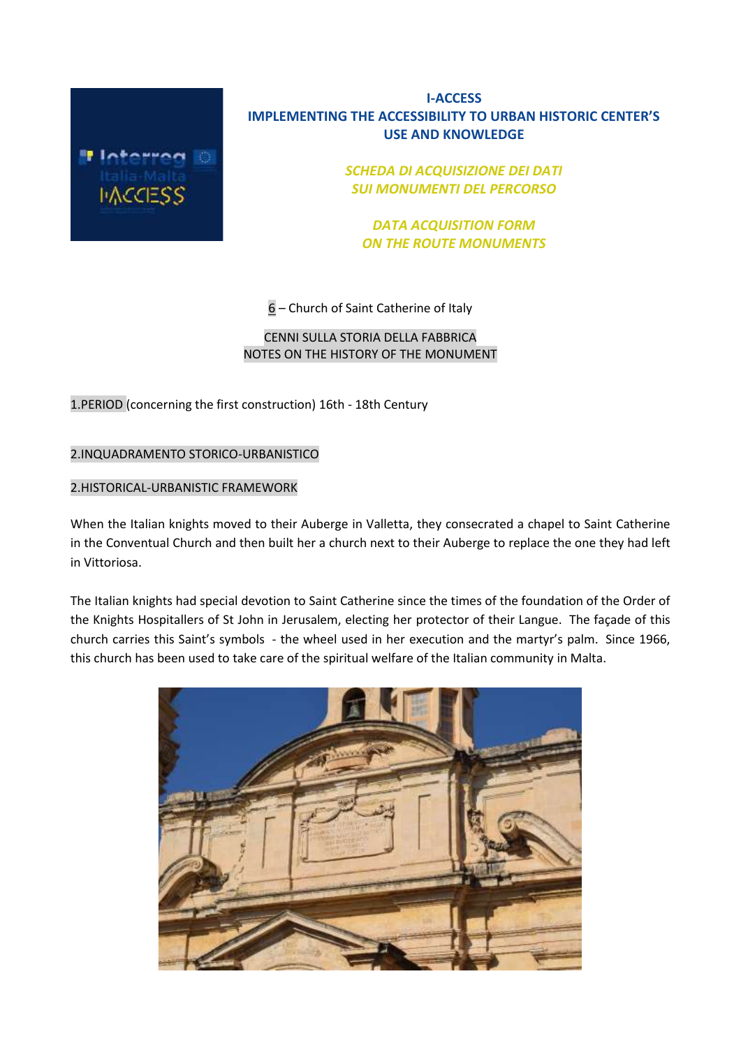

# **I-ACCESS IMPLEMENTING THE ACCESSIBILITY TO URBAN HISTORIC CENTER'S USE AND KNOWLEDGE**

*SCHEDA DI ACQUISIZIONE DEI DATI SUI MONUMENTI DEL PERCORSO*

*DATA ACQUISITION FORM ON THE ROUTE MONUMENTS*

6 – Church of Saint Catherine of Italy

# CENNI SULLA STORIA DELLA FABBRICA NOTES ON THE HISTORY OF THE MONUMENT

1.PERIOD (concerning the first construction) 16th - 18th Century

# 2.INQUADRAMENTO STORICO-URBANISTICO

# 2.HISTORICAL-URBANISTIC FRAMEWORK

When the Italian knights moved to their Auberge in Valletta, they consecrated a chapel to Saint Catherine in the Conventual Church and then built her a church next to their Auberge to replace the one they had left in Vittoriosa.

The Italian knights had special devotion to Saint Catherine since the times of the foundation of the Order of the Knights Hospitallers of St John in Jerusalem, electing her protector of their Langue. The façade of this church carries this Saint's symbols - the wheel used in her execution and the martyr's palm. Since 1966, this church has been used to take care of the spiritual welfare of the Italian community in Malta.

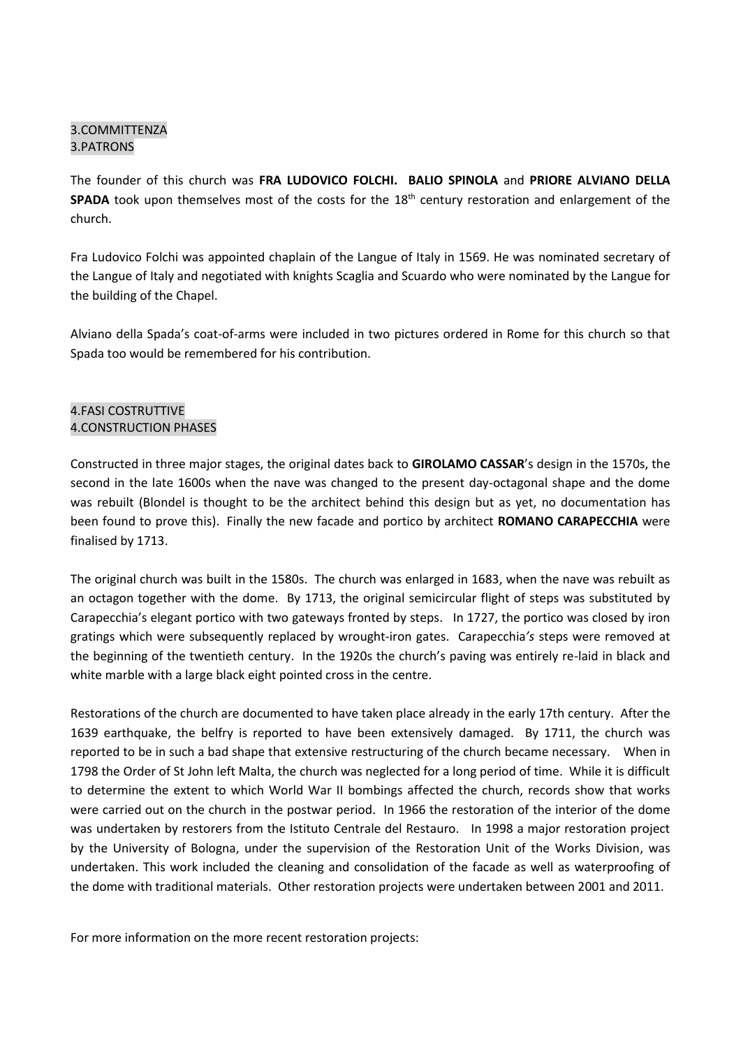# 3.COMMITTENZA 3.PATRONS

The founder of this church was **FRA LUDOVICO FOLCHI. BALIO SPINOLA** and **PRIORE ALVIANO DELLA SPADA** took upon themselves most of the costs for the 18<sup>th</sup> century restoration and enlargement of the church.

Fra Ludovico Folchi was appointed chaplain of the Langue of Italy in 1569. He was nominated secretary of the Langue of Italy and negotiated with knights Scaglia and Scuardo who were nominated by the Langue for the building of the Chapel.

Alviano della Spada's coat-of-arms were included in two pictures ordered in Rome for this church so that Spada too would be remembered for his contribution.

### 4.FASI COSTRUTTIVE 4.CONSTRUCTION PHASES

Constructed in three major stages, the original dates back to **GIROLAMO CASSAR**'s design in the 1570s, the second in the late 1600s when the nave was changed to the present day-octagonal shape and the dome was rebuilt (Blondel is thought to be the architect behind this design but as yet, no documentation has been found to prove this). Finally the new facade and portico by architect **ROMANO CARAPECCHIA** were finalised by 1713.

The original church was built in the 1580s. The church was enlarged in 1683, when the nave was rebuilt as an octagon together with the dome. By 1713, the original semicircular flight of steps was substituted by Carapecchia's elegant portico with two gateways fronted by steps. In 1727, the portico was closed by iron gratings which were subsequently replaced by wrought-iron gates. Carapecchia*'s* steps were removed at the beginning of the twentieth century. In the 1920s the church's paving was entirely re-laid in black and white marble with a large black eight pointed cross in the centre.

Restorations of the church are documented to have taken place already in the early 17th century. After the 1639 earthquake, the belfry is reported to have been extensively damaged. By 1711, the church was reported to be in such a bad shape that extensive restructuring of the church became necessary. When in 1798 the Order of St John left Malta, the church was neglected for a long period of time. While it is difficult to determine the extent to which World War II bombings affected the church, records show that works were carried out on the church in the postwar period. In 1966 the restoration of the interior of the dome was undertaken by restorers from the Istituto Centrale del Restauro. In 1998 a major restoration project by the University of Bologna, under the supervision of the Restoration Unit of the Works Division, was undertaken. This work included the cleaning and consolidation of the facade as well as waterproofing of the dome with traditional materials. Other restoration projects were undertaken between 2001 and 2011.

For more information on the more recent restoration projects: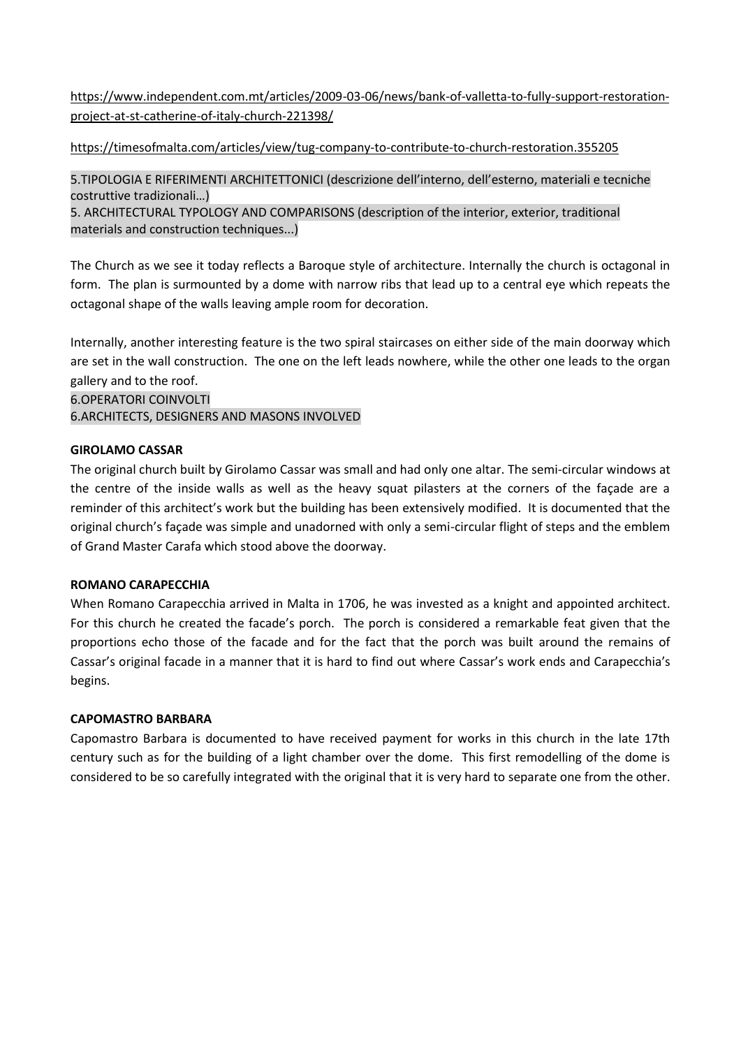[https://www.independent.com.mt/articles/2009-03-06/news/bank-of-valletta-to-fully-support-restoration](https://www.independent.com.mt/articles/2009-03-06/news/bank-of-valletta-to-fully-support-restoration-project-at-st-catherine-of-italy-church-221398/)[project-at-st-catherine-of-italy-church-221398/](https://www.independent.com.mt/articles/2009-03-06/news/bank-of-valletta-to-fully-support-restoration-project-at-st-catherine-of-italy-church-221398/)

<https://timesofmalta.com/articles/view/tug-company-to-contribute-to-church-restoration.355205>

5.TIPOLOGIA E RIFERIMENTI ARCHITETTONICI (descrizione dell'interno, dell'esterno, materiali e tecniche costruttive tradizionali…)

5. ARCHITECTURAL TYPOLOGY AND COMPARISONS (description of the interior, exterior, traditional materials and construction techniques...)

The Church as we see it today reflects a Baroque style of architecture. Internally the church is octagonal in form. The plan is surmounted by a dome with narrow ribs that lead up to a central eye which repeats the octagonal shape of the walls leaving ample room for decoration.

Internally, another interesting feature is the two spiral staircases on either side of the main doorway which are set in the wall construction. The one on the left leads nowhere, while the other one leads to the organ gallery and to the roof.

6.OPERATORI COINVOLTI 6.ARCHITECTS, DESIGNERS AND MASONS INVOLVED

## **GIROLAMO CASSAR**

The original church built by Girolamo Cassar was small and had only one altar. The semi-circular windows at the centre of the inside walls as well as the heavy squat pilasters at the corners of the façade are a reminder of this architect's work but the building has been extensively modified. It is documented that the original church's façade was simple and unadorned with only a semi-circular flight of steps and the emblem of Grand Master Carafa which stood above the doorway.

# **ROMANO CARAPECCHIA**

When Romano Carapecchia arrived in Malta in 1706, he was invested as a knight and appointed architect. For this church he created the facade's porch. The porch is considered a remarkable feat given that the proportions echo those of the facade and for the fact that the porch was built around the remains of Cassar's original facade in a manner that it is hard to find out where Cassar's work ends and Carapecchia's begins.

#### **CAPOMASTRO BARBARA**

Capomastro Barbara is documented to have received payment for works in this church in the late 17th century such as for the building of a light chamber over the dome. This first remodelling of the dome is considered to be so carefully integrated with the original that it is very hard to separate one from the other.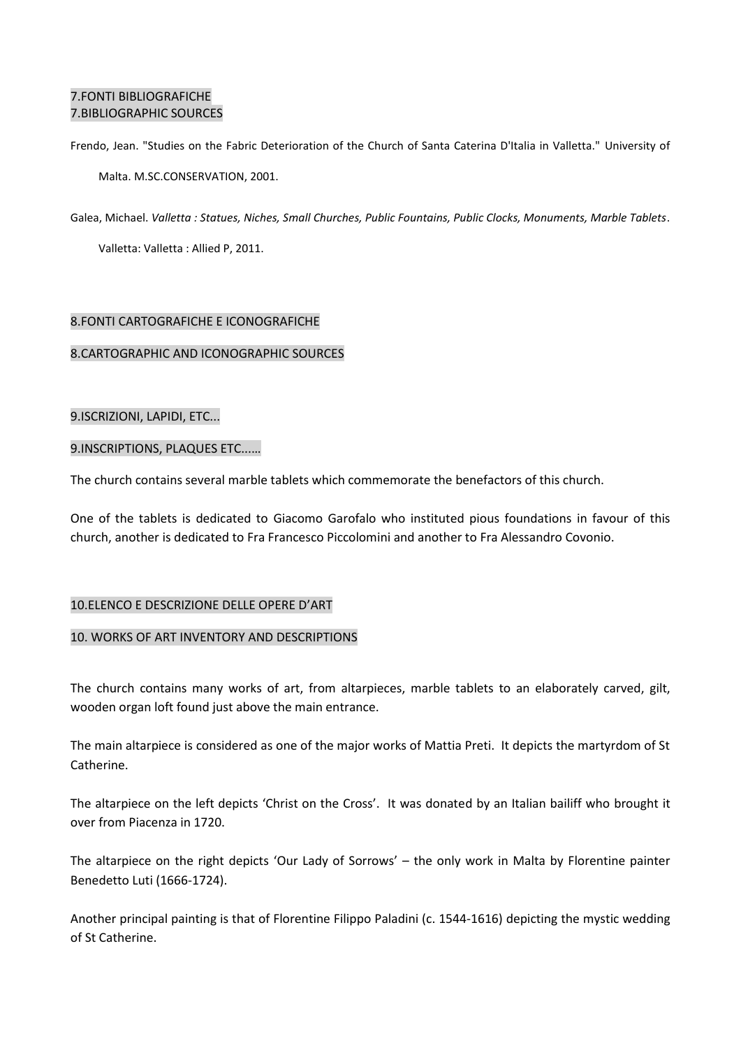# 7.FONTI BIBLIOGRAFICHE 7.BIBLIOGRAPHIC SOURCES

Frendo, Jean. "Studies on the Fabric Deterioration of the Church of Santa Caterina D'Italia in Valletta." University of

Malta. M.SC.CONSERVATION, 2001.

Galea, Michael. *Valletta : Statues, Niches, Small Churches, Public Fountains, Public Clocks, Monuments, Marble Tablets*.

Valletta: Valletta : Allied P, 2011.

## 8.FONTI CARTOGRAFICHE E ICONOGRAFICHE

## 8.CARTOGRAPHIC AND ICONOGRAPHIC SOURCES

## 9.ISCRIZIONI, LAPIDI, ETC...

## 9.INSCRIPTIONS, PLAQUES ETC...…

The church contains several marble tablets which commemorate the benefactors of this church.

One of the tablets is dedicated to Giacomo Garofalo who instituted pious foundations in favour of this church, another is dedicated to Fra Francesco Piccolomini and another to Fra Alessandro Covonio.

#### 10.ELENCO E DESCRIZIONE DELLE OPERE D'ART

#### 10. WORKS OF ART INVENTORY AND DESCRIPTIONS

The church contains many works of art, from altarpieces, marble tablets to an elaborately carved, gilt, wooden organ loft found just above the main entrance.

The main altarpiece is considered as one of the major works of Mattia Preti. It depicts the martyrdom of St Catherine.

The altarpiece on the left depicts 'Christ on the Cross'. It was donated by an Italian bailiff who brought it over from Piacenza in 1720.

The altarpiece on the right depicts 'Our Lady of Sorrows' – the only work in Malta by Florentine painter Benedetto Luti (1666-1724).

Another principal painting is that of Florentine Filippo Paladini (c. 1544-1616) depicting the mystic wedding of St Catherine.